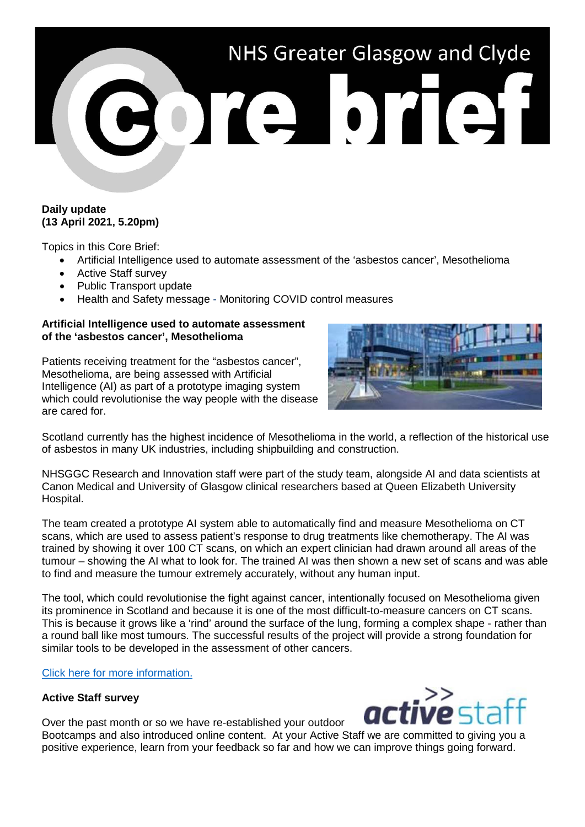

# **Daily update (13 April 2021, 5.20pm)**

Topics in this Core Brief:

- Artificial Intelligence used to automate assessment of the 'asbestos cancer', Mesothelioma
- Active Staff survey
- Public Transport update
- Health and Safety message Monitoring COVID control measures

#### **Artificial Intelligence used to automate assessment of the 'asbestos cancer', Mesothelioma**

Patients receiving treatment for the "asbestos cancer", Mesothelioma, are being assessed with Artificial Intelligence (AI) as part of a prototype imaging system which could revolutionise the way people with the disease are cared for.



Scotland currently has the highest incidence of Mesothelioma in the world, a reflection of the historical use of asbestos in many UK industries, including shipbuilding and construction.

NHSGGC Research and Innovation staff were part of the study team, alongside AI and data scientists at Canon Medical and University of Glasgow clinical researchers based at Queen Elizabeth University Hospital.

The team created a prototype AI system able to automatically find and measure Mesothelioma on CT scans, which are used to assess patient's response to drug treatments like chemotherapy. The AI was trained by showing it over 100 CT scans, on which an expert clinician had drawn around all areas of the tumour – showing the AI what to look for. The trained AI was then shown a new set of scans and was able to find and measure the tumour extremely accurately, without any human input.

The tool, which could revolutionise the fight against cancer, intentionally focused on Mesothelioma given its prominence in Scotland and because it is one of the most difficult-to-measure cancers on CT scans. This is because it grows like a 'rind' around the surface of the lung, forming a complex shape - rather than a round ball like most tumours. The successful results of the project will provide a strong foundation for similar tools to be developed in the assessment of other cancers.

## [Click here for more information.](https://www.nhsggc.org.uk/about-us/media-centre/news/2021/04/artificial-intelligence-used-to-automate-assessment-of-the-asbestos-cancer-mesothelioma/)

## **Active Staff survey**

Over the past month or so we have re-established your outdoor

Bootcamps and also introduced online content. At your Active Staff we are committed to giving you a positive experience, learn from your feedback so far and how we can improve things going forward.

act